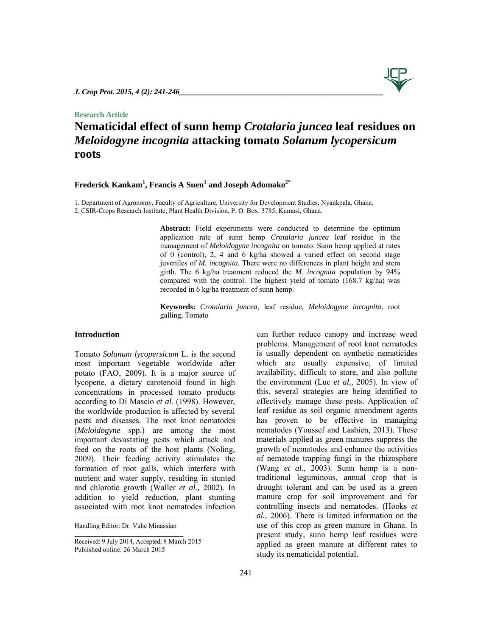# **Research Article**

# **Nematicidal effect of sunn hemp** *Crotalaria juncea* **leaf residues on**  *Meloidogyne incognita* **attacking tomato** *Solanum lycopersicum* **roots**

# $\mathbf{Fred}$ erick  $\mathbf{Kankam}^{1}, \mathbf{Francis}\ \mathbf{A}\ \mathbf{Suen}^{1}$  and  $\mathbf{Joseph}\ \mathbf{Adomako}^{2^{*}}$

1. Department of Agronomy, Faculty of Agriculture, University for Development Studies, Nyankpala, Ghana. 2. CSIR-Crops Research Institute, Plant Health Division, P. O. Box: 3785, Kumasi, Ghana.

> Abstract: Field experiments were conducted to determine the optimum application rate of sunn hemp *Crotalaria juncea* leaf residue in the management of *Meloidogyne incognita* on tomato. Sunn hemp applied at rates of 0 (control), 2, 4 and 6 kg/ha showed a varied effect on second stage juveniles of *M. incognita*. There were no differences in plant height and stem girth. The 6 kg/ha treatment reduced the *M. incognita* population by 94% compared with the control. The highest yield of tomato (168.7 kg/ha) was recorded in 6 kg/ha treatment of sunn hemp.

> **Keywords:** *Crotalaria juncea*, leaf residue, *Meloidogyne incognita*, root galling, Tomato

# **Introduction**

Tomato *Solanum lycopersicum* L*.* is the second most important vegetable worldwide after potato (FAO, 2009). It is a major source of lycopene, a dietary carotenoid found in high concentrations in processed tomato products according to Di Mascio *et al*. (1998). However, the worldwide production is affected by several pests and diseases. The root knot nematodes (*Meloidogyne* spp.) are among the most important devastating pests which attack and feed on the roots of the host plants (Noling, 2009). Their feeding activity stimulates the formation of root galls, which interfere with nutrient and water supply, resulting in stunted and chlorotic growth (Waller *et al.,* 2002). In addition to yield reduction, plant stunting associated with root knot nematodes infection can further reduce canopy and increase weed problems. Management of root knot nematodes is usually dependent on synthetic nematicides which are usually expensive, of limited availability, difficult to store, and also pollute the environment (Luc *et al.,* 2005). In view of this, several strategies are being identified to effectively manage these pests. Application of leaf residue as soil organic amendment agents has proven to be effective in managing nematodes (Youssef and Lashien, 2013). These materials applied as green manures suppress the growth of nematodes and enhance the activities of nematode trapping fungi in the rhizosphere (Wang *et al.,* 2003). Sunn hemp is a nontraditional leguminous, annual crop that is drought tolerant and can be used as a green manure crop for soil improvement and for controlling insects and nematodes. (Hooks *et al.,* 2006). There is limited information on the use of this crop as green manure in Ghana. In present study, sunn hemp leaf residues were applied as green manure at different rates to study its nematicidal potential.

Handling Editor: Dr. Vahe Minassian **\_\_\_\_\_\_\_\_\_\_\_\_\_\_\_\_\_\_\_\_\_\_\_\_\_\_\_\_\_\_\_\_** 

Received: 9 July 2014, Accepted: 8 March 2015 Published online: 26 March 2015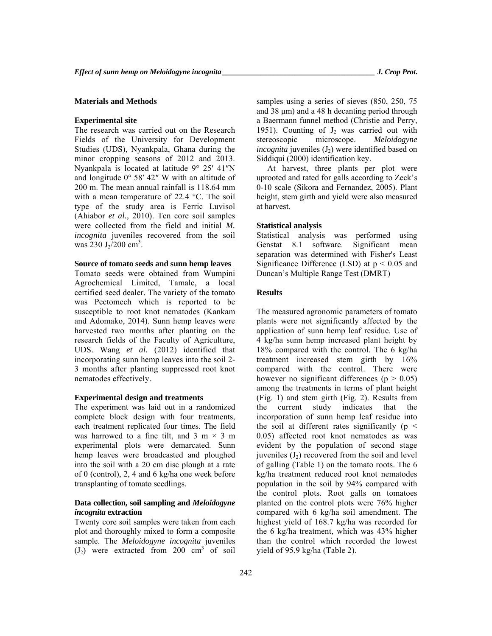# **Materials and Methods**

#### **Experimental site**

The research was carried out on the Research Fields of the University for Development Studies (UDS), Nyankpala, Ghana during the minor cropping seasons of 2012 and 2013. Nyankpala is located at latitude 9° 25′ 41″N and longitude 0° 58′ 42″ W with an altitude of 200 m. The mean annual rainfall is 118.64 mm with a mean temperature of 22.4 °C. The soil type of the study area is Ferric Luvisol (Ahiabor *et al.,* 2010). Ten core soil samples were collected from the field and initial *M. incognita* juveniles recovered from the soil was  $230 \text{ J}_2/200 \text{ cm}^3$ .

#### **Source of tomato seeds and sunn hemp leaves**

Tomato seeds were obtained from Wumpini Agrochemical Limited, Tamale, a local certified seed dealer. The variety of the tomato was Pectomech which is reported to be susceptible to root knot nematodes (Kankam and Adomako, 2014). Sunn hemp leaves were harvested two months after planting on the research fields of the Faculty of Agriculture, UDS. Wang *et al.* (2012) identified that incorporating sunn hemp leaves into the soil 2- 3 months after planting suppressed root knot nematodes effectively.

#### **Experimental design and treatments**

The experiment was laid out in a randomized complete block design with four treatments, each treatment replicated four times. The field was harrowed to a fine tilt, and  $3 \text{ m} \times 3 \text{ m}$ experimental plots were demarcated. Sunn hemp leaves were broadcasted and ploughed into the soil with a 20 cm disc plough at a rate of 0 (control), 2, 4 and 6 kg/ha one week before transplanting of tomato seedlings.

# **Data collection, soil sampling and** *Meloidogyne incognita* **extraction**

Twenty core soil samples were taken from each plot and thoroughly mixed to form a composite sample. The *Meloidogyne incognita* juveniles  $(J_2)$  were extracted from 200 cm<sup>3</sup> of soil samples using a series of sieves (850, 250, 75 and 38 μm) and a 48 h decanting period through a Baermann funnel method (Christie and Perry, 1951). Counting of  $J_2$  was carried out with stereoscopic microscope. *Meloidogyne incognita* juveniles (J<sub>2</sub>) were identified based on Siddiqui (2000) identification key.

At harvest, three plants per plot were uprooted and rated for galls according to Zeck's 0-10 scale (Sikora and Fernandez, 2005). Plant height, stem girth and yield were also measured at harvest.

# **Statistical analysis**

Statistical analysis was performed using Genstat 8.1 software. Significant mean separation was determined with Fisher's Least Significance Difference (LSD) at  $p < 0.05$  and Duncan's Multiple Range Test (DMRT)

# **Results**

The measured agronomic parameters of tomato plants were not significantly affected by the application of sunn hemp leaf residue. Use of 4 kg/ha sunn hemp increased plant height by 18% compared with the control. The 6 kg/ha treatment increased stem girth by 16% compared with the control. There were however no significant differences ( $p > 0.05$ ) among the treatments in terms of plant height (Fig. 1) and stem girth (Fig. 2). Results from the current study indicates that the incorporation of sunn hemp leaf residue into the soil at different rates significantly ( $p \le$ 0.05) affected root knot nematodes as was evident by the population of second stage juveniles  $(J_2)$  recovered from the soil and level of galling (Table 1) on the tomato roots. The 6 kg/ha treatment reduced root knot nematodes population in the soil by 94% compared with the control plots. Root galls on tomatoes planted on the control plots were 76% higher compared with 6 kg/ha soil amendment. The highest yield of 168.7 kg/ha was recorded for the 6 kg/ha treatment, which was 43% higher than the control which recorded the lowest yield of 95.9 kg/ha (Table 2).

242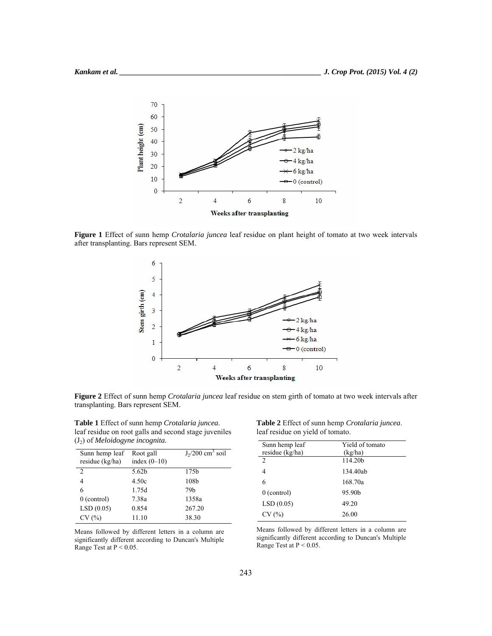

**Figure 1** Effect of sunn hemp *Crotalaria juncea* leaf residue on plant height of tomato at two week intervals after transplanting. Bars represent SEM.



**Figure 2** Effect of sunn hemp *Crotalaria juncea* leaf residue on stem girth of tomato at two week intervals after transplanting. Bars represent SEM.

**Table 1** Effect of sunn hemp *Crotalaria juncea*. leaf residue on root galls and second stage juveniles (J2) of *Meloidogyne incognita.*

| Sunn hemp leaf<br>residue (kg/ha) | Root gall<br>index $(0-10)$ | $J_2/200$ cm <sup>3</sup> soil |
|-----------------------------------|-----------------------------|--------------------------------|
| $\mathcal{L}$                     | 5.62 <sub>b</sub>           | 175b                           |
| 4                                 | 4.50c                       | 108b                           |
| 6                                 | 1.75d                       | 79 <sub>b</sub>                |
| $0$ (control)                     | 7.38a                       | 1358a                          |
| LSD(0.05)                         | 0.854                       | 267.20                         |
| CV(%)                             | 11.10                       | 38.30                          |

Means followed by different letters in a column are significantly different according to Duncan's Multiple Range Test at P < 0.05.

**Table 2** Effect of sunn hemp *Crotalaria juncea*. leaf residue on yield of tomato.

| Sunn hemp leaf  | Yield of tomato     |
|-----------------|---------------------|
| residue (kg/ha) | (kg/ha)             |
| $\overline{c}$  | 114.20 <sub>h</sub> |
| 4               | 134.40ab            |
| 6               | 168.70a             |
| $0$ (control)   | 95.90b              |
| LSD(0.05)       | 49.20               |
| CV(%)           | 26.00               |

Means followed by different letters in a column are significantly different according to Duncan's Multiple Range Test at  $P < 0.05$ .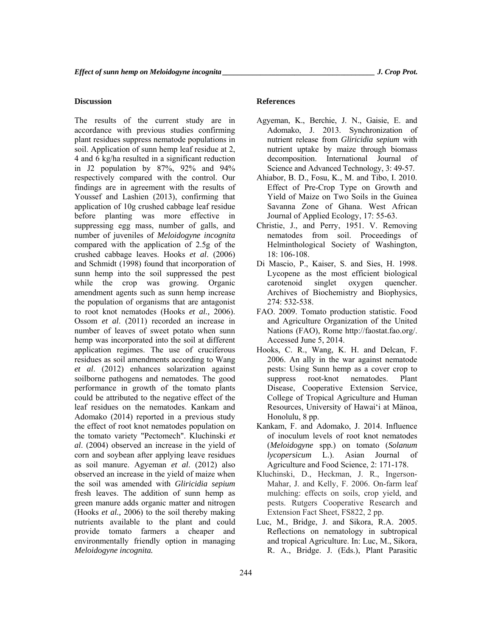# **Discussion**

The results of the current study are in accordance with previous studies confirming plant residues suppress nematode populations in soil. Application of sunn hemp leaf residue at 2, 4 and 6 kg/ha resulted in a significant reduction in J2 population by 87%, 92% and 94% respectively compared with the control. Our findings are in agreement with the results of Youssef and Lashien (2013), confirming that application of 10g crushed cabbage leaf residue before planting was more effective in suppressing egg mass, number of galls, and number of juveniles of *Meloidogyne incognita* compared with the application of 2.5g of the crushed cabbage leaves. Hooks *et al*. (2006) and Schmidt (1998) found that incorporation of sunn hemp into the soil suppressed the pest while the crop was growing. Organic amendment agents such as sunn hemp increase the population of organisms that are antagonist to root knot nematodes (Hooks *et al.,* 2006). Ossom *et al*. (2011) recorded an increase in number of leaves of sweet potato when sunn hemp was incorporated into the soil at different application regimes. The use of cruciferous residues as soil amendments according to Wang *et al*. (2012) enhances solarization against soilborne pathogens and nematodes. The good performance in growth of the tomato plants could be attributed to the negative effect of the leaf residues on the nematodes. Kankam and Adomako (2014) reported in a previous study the effect of root knot nematodes population on the tomato variety "Pectomech". Kluchinski *et al*. (2004) observed an increase in the yield of corn and soybean after applying leave residues as soil manure. Agyeman *et al*. (2012) also observed an increase in the yield of maize when the soil was amended with *Gliricidia sepium* fresh leaves. The addition of sunn hemp as green manure adds organic matter and nitrogen (Hooks *et al.,* 2006) to the soil thereby making nutrients available to the plant and could provide tomato farmers a cheaper and environmentally friendly option in managing *Meloidogyne incognita.*

# **References**

- Agyeman, K., Berchie, J. N., Gaisie, E. and Adomako, J. 2013. Synchronization of nutrient release from *Gliricidia sepium* with nutrient uptake by maize through biomass decomposition. International Journal of Science and Advanced Technology, 3: 49-57.
- Ahiabor, B. D., Fosu, K., M. and Tibo, I. 2010. Effect of Pre-Crop Type on Growth and Yield of Maize on Two Soils in the Guinea Savanna Zone of Ghana. West African Journal of Applied Ecology, 17: 55-63.
- Christie, J., and Perry, 1951. V. Removing nematodes from soil. Proceedings of Helminthological Society of Washington, 18: 106-108.
- Di Mascio, P., Kaiser, S. and Sies, H. 1998. Lycopene as the most efficient biological carotenoid singlet oxygen quencher. Archives of Biochemistry and Biophysics, 274: 532-538.
- FAO. 2009. Tomato production statistic. Food and Agriculture Organization of the United Nations (FAO), Rome http://faostat.fao.org/. Accessed June 5, 2014.
- Hooks, C. R., Wang, K. H. and Delcan, F. 2006. An ally in the war against nematode pests: Using Sunn hemp as a cover crop to suppress root-knot nematodes. Plant Disease, Cooperative Extension Service, College of Tropical Agriculture and Human Resources, University of Hawai'i at Mänoa, Honolulu, 8 pp.
- Kankam, F. and Adomako, J. 2014. Influence of inoculum levels of root knot nematodes (*Meloidogyne* spp.) on tomato (*Solanum lycopersicum* L.). Asian Journal of Agriculture and Food Science, 2: 171-178.
- Kluchinski, D., Heckman, J. R., Ingerson-Mahar, J. and Kelly, F. 2006. On-farm leaf mulching: effects on soils, crop yield, and pests. Rutgers Cooperative Research and Extension Fact Sheet, FS822, 2 pp.
- Luc, M., Bridge, J. and Sikora, R.A. 2005. Reflections on nematology in subtropical and tropical Agriculture. In: Luc, M., Sikora, R. A., Bridge. J. (Eds.), Plant Parasitic